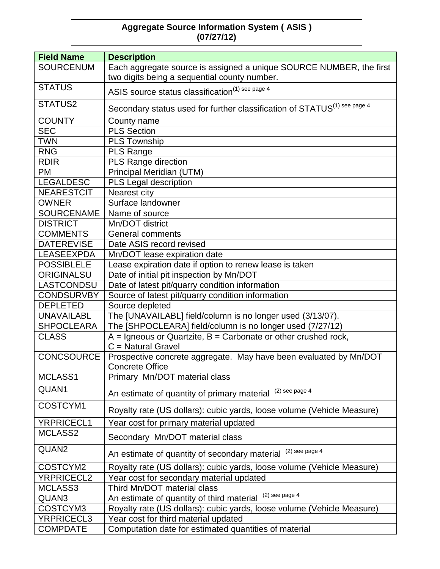## **Aggregate Source Information System ( ASIS ) (07/27/12)**

| <b>Field Name</b> | <b>Description</b>                                                                          |
|-------------------|---------------------------------------------------------------------------------------------|
| <b>SOURCENUM</b>  | Each aggregate source is assigned a unique SOURCE NUMBER, the first                         |
|                   | two digits being a sequential county number.                                                |
| <b>STATUS</b>     | ASIS source status classification <sup>(1) see page 4</sup>                                 |
| STATUS2           | Secondary status used for further classification of STATUS <sup>(1) see page 4</sup>        |
| <b>COUNTY</b>     | County name                                                                                 |
| <b>SEC</b>        | <b>PLS Section</b>                                                                          |
| <b>TWN</b>        | <b>PLS Township</b>                                                                         |
| <b>RNG</b>        | <b>PLS Range</b>                                                                            |
| <b>RDIR</b>       | PLS Range direction                                                                         |
| <b>PM</b>         | Principal Meridian (UTM)                                                                    |
| <b>LEGALDESC</b>  | PLS Legal description                                                                       |
| <b>NEARESTCIT</b> | Nearest city                                                                                |
| <b>OWNER</b>      | Surface landowner                                                                           |
| <b>SOURCENAME</b> | Name of source                                                                              |
| <b>DISTRICT</b>   | Mn/DOT district                                                                             |
| <b>COMMENTS</b>   | <b>General comments</b>                                                                     |
| <b>DATEREVISE</b> | Date ASIS record revised                                                                    |
| <b>LEASEEXPDA</b> | Mn/DOT lease expiration date                                                                |
| <b>POSSIBLELE</b> | Lease expiration date if option to renew lease is taken                                     |
| <b>ORIGINALSU</b> | Date of initial pit inspection by Mn/DOT                                                    |
| LASTCONDSU        | Date of latest pit/quarry condition information                                             |
| <b>CONDSURVBY</b> | Source of latest pit/quarry condition information                                           |
| <b>DEPLETED</b>   | Source depleted                                                                             |
| <b>UNAVAILABL</b> | The [UNAVAILABL] field/column is no longer used (3/13/07).                                  |
| <b>SHPOCLEARA</b> | The [SHPOCLEARA] field/column is no longer used (7/27/12)                                   |
| <b>CLASS</b>      | $A =$ Igneous or Quartzite, $B =$ Carbonate or other crushed rock,                          |
|                   | $C =$ Natural Gravel                                                                        |
| <b>CONCSOURCE</b> | Prospective concrete aggregate. May have been evaluated by Mn/DOT<br><b>Concrete Office</b> |
| MCLASS1           | Primary Mn/DOT material class                                                               |
| QUAN1             | $(2)$ see page 4<br>An estimate of quantity of primary material                             |
| COSTCYM1          | Royalty rate (US dollars): cubic yards, loose volume (Vehicle Measure)                      |
| YRPRICECL1        | Year cost for primary material updated                                                      |
| MCLASS2           | Secondary Mn/DOT material class                                                             |
| QUAN2             | $(2)$ see page 4<br>An estimate of quantity of secondary material                           |
| COSTCYM2          | Royalty rate (US dollars): cubic yards, loose volume (Vehicle Measure)                      |
| <b>YRPRICECL2</b> | Year cost for secondary material updated                                                    |
| MCLASS3           | Third Mn/DOT material class                                                                 |
| QUAN3             | $(2)$ see page 4<br>An estimate of quantity of third material                               |
| COSTCYM3          | Royalty rate (US dollars): cubic yards, loose volume (Vehicle Measure)                      |
| YRPRICECL3        | Year cost for third material updated                                                        |
| <b>COMPDATE</b>   | Computation date for estimated quantities of material                                       |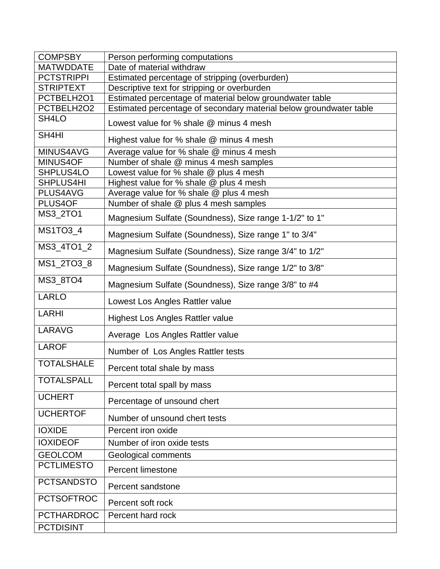| <b>COMPSBY</b>     | Person performing computations                                     |
|--------------------|--------------------------------------------------------------------|
| <b>MATWDDATE</b>   | Date of material withdraw                                          |
| <b>PCTSTRIPPI</b>  | Estimated percentage of stripping (overburden)                     |
| <b>STRIPTEXT</b>   | Descriptive text for stripping or overburden                       |
| PCTBELH2O1         | Estimated percentage of material below groundwater table           |
| PCTBELH2O2         | Estimated percentage of secondary material below groundwater table |
| SH <sub>4</sub> LO | Lowest value for % shale @ minus 4 mesh                            |
| SH4HI              | Highest value for % shale @ minus 4 mesh                           |
| MINUS4AVG          | Average value for % shale @ minus 4 mesh                           |
| MINUS4OF           | Number of shale @ minus 4 mesh samples                             |
| SHPLUS4LO          | Lowest value for % shale @ plus 4 mesh                             |
| SHPLUS4HI          | Highest value for % shale @ plus 4 mesh                            |
| PLUS4AVG           | Average value for % shale @ plus 4 mesh                            |
| PLUS4OF            | Number of shale @ plus 4 mesh samples                              |
| MS3_2TO1           | Magnesium Sulfate (Soundness), Size range 1-1/2" to 1"             |
| MS1TO3_4           | Magnesium Sulfate (Soundness), Size range 1" to 3/4"               |
| MS3_4TO1_2         | Magnesium Sulfate (Soundness), Size range 3/4" to 1/2"             |
| MS1_2TO3_8         | Magnesium Sulfate (Soundness), Size range 1/2" to 3/8"             |
| MS3_8TO4           | Magnesium Sulfate (Soundness), Size range 3/8" to #4               |
| <b>LARLO</b>       | Lowest Los Angles Rattler value                                    |
| <b>LARHI</b>       | <b>Highest Los Angles Rattler value</b>                            |
| LARAVG             | Average Los Angles Rattler value                                   |
| <b>LAROF</b>       | Number of Los Angles Rattler tests                                 |
| <b>TOTALSHALE</b>  | Percent total shale by mass                                        |
| <b>TOTALSPALL</b>  | Percent total spall by mass                                        |
| <b>UCHERT</b>      | Percentage of unsound chert                                        |
| <b>UCHERTOF</b>    | Number of unsound chert tests                                      |
| <b>IOXIDE</b>      | Percent iron oxide                                                 |
| <b>IOXIDEOF</b>    | Number of iron oxide tests                                         |
| <b>GEOLCOM</b>     | <b>Geological comments</b>                                         |
| <b>PCTLIMESTO</b>  |                                                                    |
|                    | <b>Percent limestone</b>                                           |
| <b>PCTSANDSTO</b>  | Percent sandstone                                                  |
| <b>PCTSOFTROC</b>  | Percent soft rock                                                  |
| <b>PCTHARDROC</b>  | Percent hard rock                                                  |
| <b>PCTDISINT</b>   |                                                                    |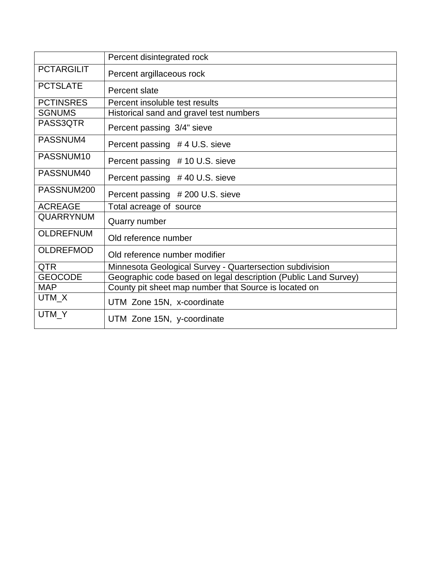|                   | Percent disintegrated rock                                      |
|-------------------|-----------------------------------------------------------------|
| <b>PCTARGILIT</b> | Percent argillaceous rock                                       |
| <b>PCTSLATE</b>   | Percent slate                                                   |
| <b>PCTINSRES</b>  | Percent insoluble test results                                  |
| <b>SGNUMS</b>     | Historical sand and gravel test numbers                         |
| PASS3QTR          | Percent passing 3/4" sieve                                      |
| PASSNUM4          | Percent passing #4 U.S. sieve                                   |
| PASSNUM10         | Percent passing #10 U.S. sieve                                  |
| PASSNUM40         | Percent passing #40 U.S. sieve                                  |
| PASSNUM200        | Percent passing #200 U.S. sieve                                 |
| <b>ACREAGE</b>    | Total acreage of source                                         |
| <b>QUARRYNUM</b>  | Quarry number                                                   |
| <b>OLDREFNUM</b>  | Old reference number                                            |
| <b>OLDREFMOD</b>  | Old reference number modifier                                   |
| <b>QTR</b>        | Minnesota Geological Survey - Quartersection subdivision        |
| <b>GEOCODE</b>    | Geographic code based on legal description (Public Land Survey) |
| <b>MAP</b>        | County pit sheet map number that Source is located on           |
| UTM_X             | UTM Zone 15N, x-coordinate                                      |
| UTM_Y             | UTM Zone 15N, y-coordinate                                      |